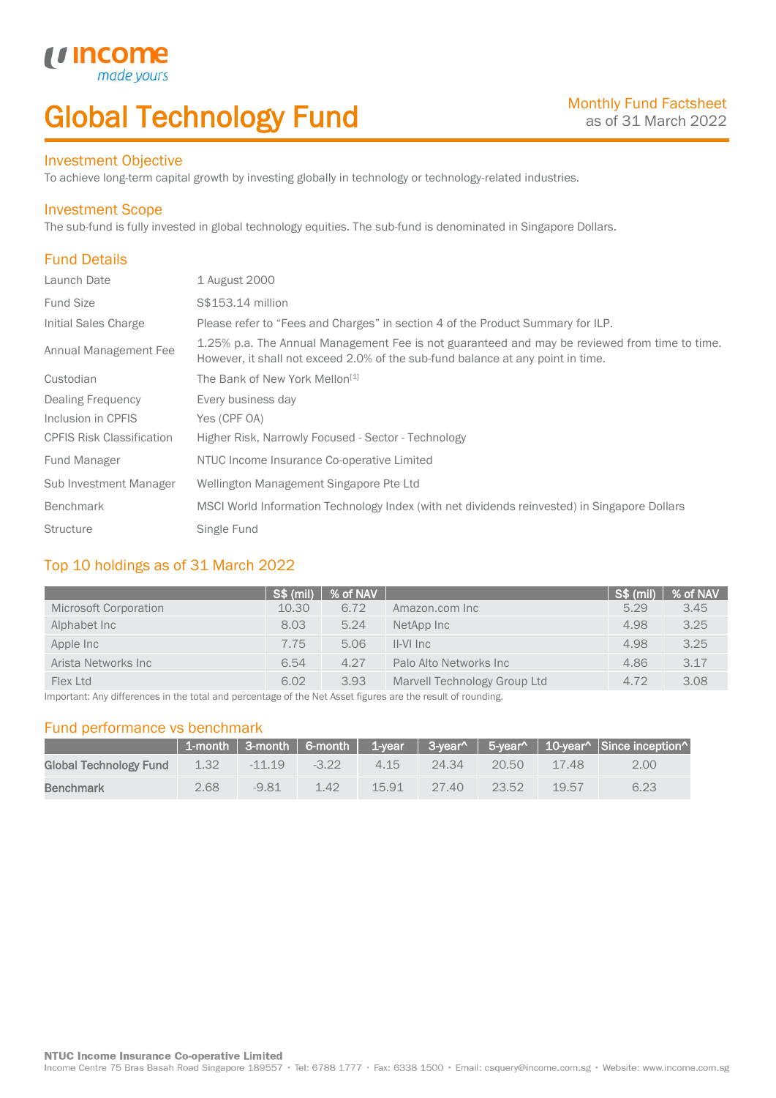# Global Technology Fund

## Investment Objective

made<sub>1</sub>

*u* incom

To achieve long-term capital growth by investing globally in technology or technology-related industries.

### Investment Scope

The sub-fund is fully invested in global technology equities. The sub-fund is denominated in Singapore Dollars.

# Fund Details

I

| Launch Date                      | 1 August 2000                                                                                                                                                                    |
|----------------------------------|----------------------------------------------------------------------------------------------------------------------------------------------------------------------------------|
| <b>Fund Size</b>                 | S\$153.14 million                                                                                                                                                                |
| Initial Sales Charge             | Please refer to "Fees and Charges" in section 4 of the Product Summary for ILP.                                                                                                  |
| Annual Management Fee            | 1.25% p.a. The Annual Management Fee is not guaranteed and may be reviewed from time to time.<br>However, it shall not exceed 2.0% of the sub-fund balance at any point in time. |
| Custodian                        | The Bank of New York Mellon <sup>[1]</sup>                                                                                                                                       |
| Dealing Frequency                | Every business day                                                                                                                                                               |
| Inclusion in CPFIS               | Yes (CPF OA)                                                                                                                                                                     |
| <b>CPFIS Risk Classification</b> | Higher Risk, Narrowly Focused - Sector - Technology                                                                                                                              |
| <b>Fund Manager</b>              | NTUC Income Insurance Co-operative Limited                                                                                                                                       |
| Sub Investment Manager           | Wellington Management Singapore Pte Ltd                                                                                                                                          |
| <b>Benchmark</b>                 | MSCI World Information Technology Index (with net dividends reinvested) in Singapore Dollars                                                                                     |
| <b>Structure</b>                 | Single Fund                                                                                                                                                                      |

## Top 10 holdings as of 31 March 2022

| <b>S\$ (mil)</b> | % of NAV |                              | $\sqrt{\text{S}}\$ (mil) | % of NAV |
|------------------|----------|------------------------------|--------------------------|----------|
| 10.30            | 6.72     | Amazon.com Inc               | 5.29                     | 3.45     |
| 8.03             | 5.24     | NetApp Inc                   | 4.98                     | 3.25     |
| 7.75             | 5.06     | $II-VI$ Inc                  | 4.98                     | 3.25     |
| 6.54             | 4.27     | Palo Alto Networks Inc.      | 4.86                     | 3.17     |
| 6.02             | 3.93     | Marvell Technology Group Ltd | 4.72                     | 3.08     |
|                  |          |                              |                          |          |

Important: Any differences in the total and percentage of the Net Asset figures are the result of rounding.

### Fund performance vs benchmark

|                        |      |          |         |       |        |       |       | 1-month   3-month   6-month   1-year   3-year^   5-year^   10-year^   Since inception^ |
|------------------------|------|----------|---------|-------|--------|-------|-------|----------------------------------------------------------------------------------------|
| Global Technology Fund | 1.32 | $-11.19$ | $-3.22$ | 4.15  | -24.34 | 20.50 | 17.48 | 2.00                                                                                   |
| <b>Benchmark</b>       | 2.68 | $-9.81$  | 1.42    | 15.91 | 27.40  | 23.52 | 19.57 | 6.23                                                                                   |

Income Centre 75 Bras Basah Road Singapore 189557 · Tel: 6788 1777 · Fax: 6338 1500 · Email: csquery@income.com.sg · Website: www.income.com.sg